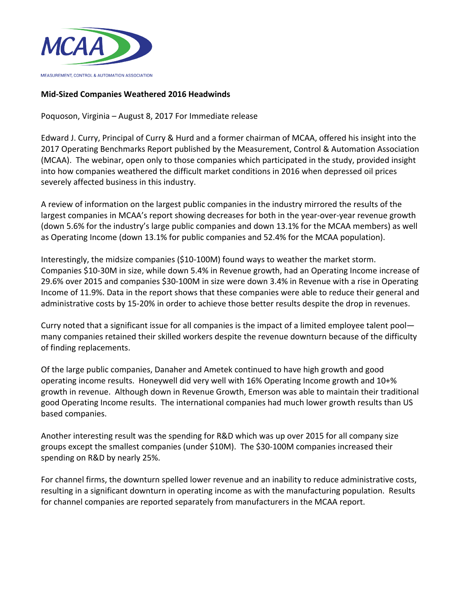

## **Mid-Sized Companies Weathered 2016 Headwinds**

Poquoson, Virginia – August 8, 2017 For Immediate release

Edward J. Curry, Principal of Curry & Hurd and a former chairman of MCAA, offered his insight into the 2017 Operating Benchmarks Report published by the Measurement, Control & Automation Association (MCAA). The webinar, open only to those companies which participated in the study, provided insight into how companies weathered the difficult market conditions in 2016 when depressed oil prices severely affected business in this industry.

A review of information on the largest public companies in the industry mirrored the results of the largest companies in MCAA's report showing decreases for both in the year-over-year revenue growth (down 5.6% for the industry's large public companies and down 13.1% for the MCAA members) as well as Operating Income (down 13.1% for public companies and 52.4% for the MCAA population).

Interestingly, the midsize companies (\$10-100M) found ways to weather the market storm. Companies \$10-30M in size, while down 5.4% in Revenue growth, had an Operating Income increase of 29.6% over 2015 and companies \$30-100M in size were down 3.4% in Revenue with a rise in Operating Income of 11.9%. Data in the report shows that these companies were able to reduce their general and administrative costs by 15-20% in order to achieve those better results despite the drop in revenues.

Curry noted that a significant issue for all companies is the impact of a limited employee talent poolmany companies retained their skilled workers despite the revenue downturn because of the difficulty of finding replacements.

Of the large public companies, Danaher and Ametek continued to have high growth and good operating income results. Honeywell did very well with 16% Operating Income growth and 10+% growth in revenue. Although down in Revenue Growth, Emerson was able to maintain their traditional good Operating Income results. The international companies had much lower growth results than US based companies.

Another interesting result was the spending for R&D which was up over 2015 for all company size groups except the smallest companies (under \$10M). The \$30-100M companies increased their spending on R&D by nearly 25%.

For channel firms, the downturn spelled lower revenue and an inability to reduce administrative costs, resulting in a significant downturn in operating income as with the manufacturing population. Results for channel companies are reported separately from manufacturers in the MCAA report.